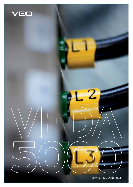

low voltage switchgear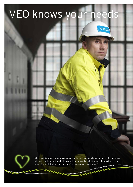# VEO knows your needs

VED



"Close collaboration with our customers, and more than 5 million man hours of experience, puts us in the best position to deliver automation and electrification solutions for energy production, distribution and consumption to customers worldwide."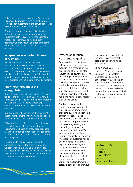VEO's field of expertise is energy. We provide customised automation and electrification solutions for customers in the power generation, distribution and process industries.

Our services range from partial deliveries to turnkey projects, including preplanning, equipment deliveries, project management, installations, commissioning and user training. Our know-how also extends to plant modernisations, maintenance and system updates.

# **Independent – in the best interest of customers**

We want to be an available, attentive and responsible partner, able to flexibly accommodate our customers' changing needs. Cooperation with all leading equipment suppliers in the field ensures that the solutions provided to our customers will always be the most suitable and the most advanced available.

# **Know-how throughout the energy chain**

Our extensive experience is visible in all major fields of the energy sector. Our know-how is cultivated and passed on to the next generation through the VEO Academy, whose expert seminars and training are also available to our customers.

Our operation is based on the ISO9001:2000 quality management system, which is audited annually by both DNV and SGS-Fimko Ltd.

VEO manufactures its core products inhouse. The tailor-made solutions offered to our customers are based on these core products with the addition of other suppliers' equipment in order to provide the best available solution for each project.

 In addition to control, protection and automation systems for power production, we deliver substations and medium voltage switchgears for distribution systems as well as low voltage switchgear, drives and automation systems for the process industry.



# Professional touch – guaranteed quality

Process reliability, personnel safety, maintenance and fault detection are essential in the distribution of electricity for industries and power plants. The fluctuating user requirements also emphasise the need for cost-effectiveness and quickly applicable, reliable solutions with prompt deliveries. Our versatile products and flexible, customer-oriented methods make the new solutions rapidly available to users.

Our teams in application engineering have significant experience and know-how in providing quality and economic efficiency. Research and development is always carried out in close co-operation with the users, engineering and consulting companies, and component suppliers. VEDA switchgear is an excellent example of quality workmanship, knowledge of customer needs and co-operation with top experts in the field. System quality is ensured by careful selection of materials and components, the provision of suitable electro-technical applications and a tested ventilation system. Personnel safety is considered paramount

and is enhanced by controlling the arc pressure, internal separation and systematic interlocking.

VEDA 5000 has been typetested (TTA) in the Helsinki University of Technology laboratories, FIMKO and Zkusebnictvi A.S., Prague. In addition to the requirements of standard IEC 60439/61439, the tests have been extended to meet the requirements of all customer groups and national safety requirements.

# VEDA 5000

- $\bullet$  versatile
	- $\bullet$  reliable
	- $\bullet$  cost-effective
	- safe
	- easy maintenance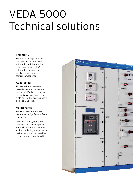# VEDA 5000 Technical solutions

# Versatility

The VEDA-concept matches the needs of fieldbus-based automation solutions, using either bus connected I/O automation modules or intelligent bus connected control components.

# Adaptability

Thanks to the extractable cassette system, the system can be modified according to the available space and user preferences. The spare space is also easily utilised.

# Maintenance

The simple structure makes maintenance significantly faster and easier.

In the cassette systems, the cassette door can be opened and maintenance procedures, such as replacing a fuse, can be performed while the cassettes are still in operational position.

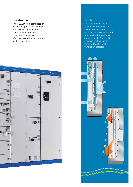# Construction

The VEDA-system comprises of lower and upper cross-members, and vertical frame members. This simplified modular structure improves costeffectiveness of the delivery and in all stages of use.



# Safety

The spreading of the arc is effectively prevented: the incoming feed unit and the main bus bars are separated from each other and other compartments. The existing effective cooling can be improved further with a ventilation cassette.

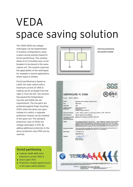# VEDA space saving solution  $VIII11 \leq l$

The VEDA 5000 low voltage switchgear can be implemented in fuseless configurations using a space saving solution based on Form2 partitioning. This solution allows 4 to 5 moulded case circuit breakers to be placed in the same cubicle cell. The solution improves the applicability of the switchgear, for example in marine applications where space is limited.

Form2 partitioning is based on a 600 mm wide cubicle with a maximum current of 1,900 A. Cabling can be arranged from the right or from the left. The solution has passed the temperaturerise test and fulfills the set requirements. The live parts are protected against finger touching (IP2X) when the doors are open. Instead of a switch, a separate protection module can be installed in the spare cell. The standard protection class of VEDA low voltage switchgear is IP31. By adding additional protection in the doors protection class IP54 can be reached.



Internal partitioning (EN 61439-2:2009)



# Form2 partitioning

- $\bullet$  Cubicle: width 600 mm/ maximum current 1,900 A
- Doors open: IP2X
- Protection module against touch in the spare switch position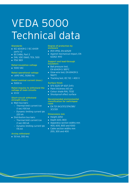# VEDA 5000 Technical data

#### **Standards**

- IEC 60439-2 / IEC 61439 parts 1-2
- BS 5486, Part 2
- DIN, VDE 0660, TEIL 500
- PSK 1801

#### **Rated insulation voltage**

• 1000 VAC

#### **Rated operational voltage**

● ≤690 VAC, 50/60 Hz

#### **Rated nominal current (max.)**

 $\bullet$  5000 A

#### **Rated impulse to withstand the voltage of main circuits**

 $\bullet$  12 kV

#### **Short-circuit withstand strength (max.)**

- Main bus bars:
	- Thermal limit current Icw (1 sec) 100 kA
	- Dynamic limiting current Ipk 220 kA
- Distribution bus bars:
	- Thermal limit current Icw (1 sec) 80 kA
	- Dynamic limiting current Ipk 176 kA

### **Arcing withstand**

• 50 kA, 300 ms

#### **Degree of protection by enclosure**

- IP21-IP55, EN 60529
- Against mechanical impact, EN 62262: IK10

#### **Support and lead-through insulators**

- Ball pressure test, EN 60439-3: 185°C
- Glow-wire test, FN 69439-3: 960°C
- Tracking test, IEC 112: > 400 V

#### **Surface finish**

- SFS 5225 SP 60/1 ZnFo
- Paint thickness 60 um
- Colour shade RAL 7032
- Shockproof effect surface

#### **Recommended environmental classification for switchgear room**

• EN 721-3K3/372/374/3B1/ 3C1/3S1

#### **Dimensions mm**

- $\bullet$  Height 2250
- Depth 600, 800
- Apparatus section widths mm 400, 600, 800 and 1000
- Cable section widths mm 200, 300 and 400